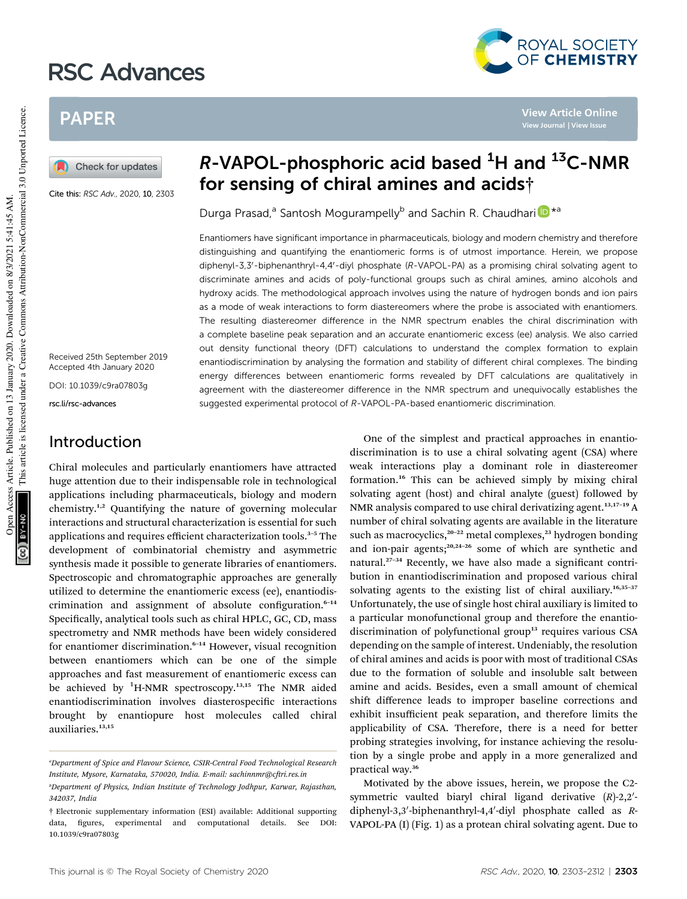# RSC Advances



**View Article Online View Journal | View Issue**

## PAPER

Check for updates

Cite this: RSC Adv., 2020, 10, 2303

Received 25th September 2019 Accepted 4th January 2020

DOI: 10.1039/c9ra07803g

rsc.li/rsc-advances

### Introduction

 $R$ -VAPOL-phosphoric acid based  ${}^{1}$ H and  ${}^{13}$ C-NMR for sensing of chiral amines and acids†

Durga Prasad,<sup>a</sup> Santosh Mogurampelly<sup>b</sup> and Sachin R. Chaudhari<sup>n</sup> \*<sup>a</sup>

Enantiomers have significant importance in pharmaceuticals, biology and modern chemistry and therefore distinguishing and quantifying the enantiomeric forms is of utmost importance. Herein, we propose diphenyl-3,3'-biphenanthryl-4,4'-diyl phosphate (R-VAPOL-PA) as a promising chiral solvating agent to discriminate amines and acids of poly-functional groups such as chiral amines, amino alcohols and hydroxy acids. The methodological approach involves using the nature of hydrogen bonds and ion pairs as a mode of weak interactions to form diastereomers where the probe is associated with enantiomers. The resulting diastereomer difference in the NMR spectrum enables the chiral discrimination with a complete baseline peak separation and an accurate enantiomeric excess (ee) analysis. We also carried out density functional theory (DFT) calculations to understand the complex formation to explain enantiodiscrimination by analysing the formation and stability of different chiral complexes. The binding energy differences between enantiomeric forms revealed by DFT calculations are qualitatively in agreement with the diastereomer difference in the NMR spectrum and unequivocally establishes the suggested experimental protocol of R-VAPOL-PA-based enantiomeric discrimination.

Chiral molecules and particularly enantiomers have attracted huge attention due to their indispensable role in technological applications including pharmaceuticals, biology and modern chemistry.1,2 Quantifying the nature of governing molecular interactions and structural characterization is essential for such applications and requires efficient characterization tools.<sup>3-5</sup> The development of combinatorial chemistry and asymmetric synthesis made it possible to generate libraries of enantiomers. Spectroscopic and chromatographic approaches are generally utilized to determine the enantiomeric excess (ee), enantiodiscrimination and assignment of absolute configuration. $6-14$ Specifically, analytical tools such as chiral HPLC, GC, CD, mass spectrometry and NMR methods have been widely considered for enantiomer discrimination.<sup>6-14</sup> However, visual recognition between enantiomers which can be one of the simple approaches and fast measurement of enantiomeric excess can be achieved by <sup>1</sup>H-NMR spectroscopy.<sup>13,15</sup> The NMR aided enantiodiscrimination involves diasterospecific interactions brought by enantiopure host molecules called chiral auxiliaries.<sup>13,15</sup>

One of the simplest and practical approaches in enantiodiscrimination is to use a chiral solvating agent (CSA) where weak interactions play a dominant role in diastereomer formation.<sup>16</sup> This can be achieved simply by mixing chiral solvating agent (host) and chiral analyte (guest) followed by NMR analysis compared to use chiral derivatizing agent.<sup>13,17-19</sup> A number of chiral solvating agents are available in the literature such as macrocyclics, $20-22$  metal complexes, $23$  hydrogen bonding and ion-pair agents; $20,24-26$  some of which are synthetic and natural.<sup>27-34</sup> Recently, we have also made a significant contribution in enantiodiscrimination and proposed various chiral solvating agents to the existing list of chiral auxiliary.<sup>16,35-37</sup> Unfortunately, the use of single host chiral auxiliary is limited to a particular monofunctional group and therefore the enantiodiscrimination of polyfunctional group<sup>13</sup> requires various CSA depending on the sample of interest. Undeniably, the resolution of chiral amines and acids is poor with most of traditional CSAs due to the formation of soluble and insoluble salt between amine and acids. Besides, even a small amount of chemical shift difference leads to improper baseline corrections and exhibit insufficient peak separation, and therefore limits the applicability of CSA. Therefore, there is a need for better probing strategies involving, for instance achieving the resolution by a single probe and apply in a more generalized and practical way.<sup>36</sup>

Motivated by the above issues, herein, we propose the C2 symmetric vaulted biaryl chiral ligand derivative  $(R)$ -2,2'diphenyl-3,3'-biphenanthryl-4,4'-diyl phosphate called as *R*-VAPOL-PA (I) (Fig. 1) as a protean chiral solvating agent. Due to

*<sup>a</sup>Department of Spice and Flavour Science, CSIR-Central Food Technological Research Institute, Mysore, Karnataka, 570020, India. E-mail: sachinnmr@cri.res.in*

*<sup>b</sup>Department of Physics, Indian Institute of Technology Jodhpur, Karwar, Rajasthan, 342037, India*

<sup>†</sup> Electronic supplementary information (ESI) available: Additional supporting data, figures, experimental and computational details. See DOI: 10.1039/c9ra07803g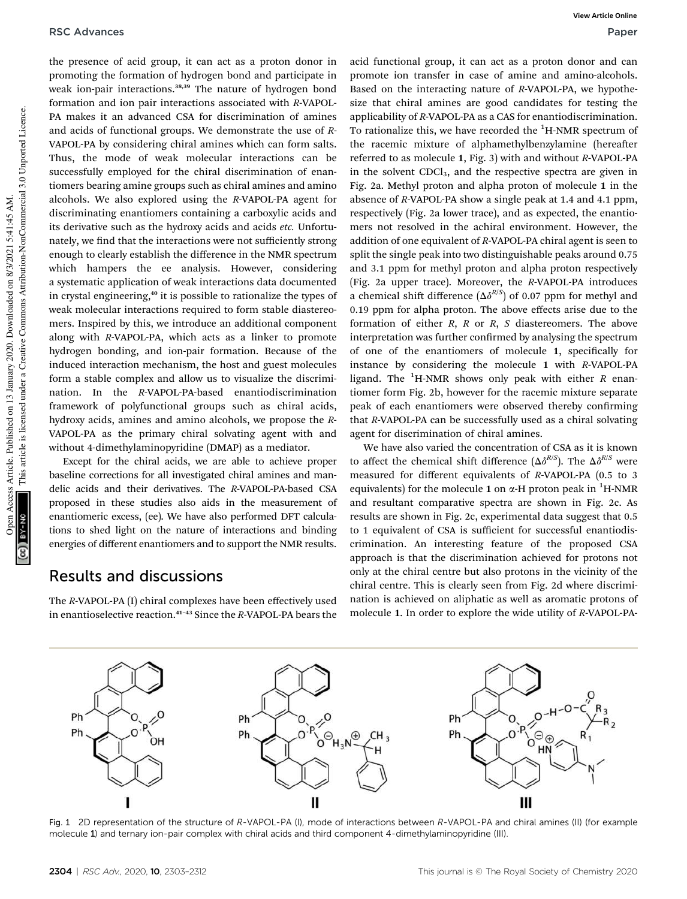the presence of acid group, it can act as a proton donor in promoting the formation of hydrogen bond and participate in weak ion-pair interactions.<sup>38,39</sup> The nature of hydrogen bond formation and ion pair interactions associated with *R*-VAPOL-PA makes it an advanced CSA for discrimination of amines and acids of functional groups. We demonstrate the use of *R*-VAPOL-PA by considering chiral amines which can form salts. Thus, the mode of weak molecular interactions can be successfully employed for the chiral discrimination of enantiomers bearing amine groups such as chiral amines and amino alcohols. We also explored using the *R*-VAPOL-PA agent for discriminating enantiomers containing a carboxylic acids and its derivative such as the hydroxy acids and acids *etc.* Unfortunately, we find that the interactions were not sufficiently strong enough to clearly establish the difference in the NMR spectrum which hampers the ee analysis. However, considering a systematic application of weak interactions data documented in crystal engineering,<sup>40</sup> it is possible to rationalize the types of weak molecular interactions required to form stable diastereomers. Inspired by this, we introduce an additional component along with *R*-VAPOL-PA, which acts as a linker to promote hydrogen bonding, and ion-pair formation. Because of the induced interaction mechanism, the host and guest molecules form a stable complex and allow us to visualize the discrimination. In the *R*-VAPOL-PA-based enantiodiscrimination framework of polyfunctional groups such as chiral acids, hydroxy acids, amines and amino alcohols, we propose the *R*-VAPOL-PA as the primary chiral solvating agent with and without 4-dimethylaminopyridine (DMAP) as a mediator.

Except for the chiral acids, we are able to achieve proper baseline corrections for all investigated chiral amines and mandelic acids and their derivatives. The *R*-VAPOL-PA-based CSA proposed in these studies also aids in the measurement of enantiomeric excess, (ee). We have also performed DFT calculations to shed light on the nature of interactions and binding energies of different enantiomers and to support the NMR results.

### Results and discussions

The *R*-VAPOL-PA (I) chiral complexes have been effectively used in enantioselective reaction.<sup>41</sup>–<sup>43</sup> Since the *R*-VAPOL-PA bears the acid functional group, it can act as a proton donor and can promote ion transfer in case of amine and amino-alcohols. Based on the interacting nature of *R*-VAPOL-PA, we hypothesize that chiral amines are good candidates for testing the applicability of *R*-VAPOL-PA as a CAS for enantiodiscrimination. To rationalize this, we have recorded the  ${}^{1}$ H-NMR spectrum of the racemic mixture of alphamethylbenzylamine (hereafter referred to as molecule 1, Fig. 3) with and without *R*-VAPOL-PA in the solvent CDCl<sub>3</sub>, and the respective spectra are given in Fig. 2a. Methyl proton and alpha proton of molecule 1 in the absence of *R*-VAPOL-PA show a single peak at 1.4 and 4.1 ppm, respectively (Fig. 2a lower trace), and as expected, the enantiomers not resolved in the achiral environment. However, the addition of one equivalent of *R*-VAPOL-PA chiral agent is seen to split the single peak into two distinguishable peaks around 0.75 and 3.1 ppm for methyl proton and alpha proton respectively (Fig. 2a upper trace). Moreover, the *R*-VAPOL-PA introduces a chemical shift difference  $(\Delta \delta^{R/S})$  of 0.07 ppm for methyl and 0.19 ppm for alpha proton. The above effects arise due to the formation of either *R*, *R* or *R*, *S* diastereomers. The above interpretation was further confirmed by analysing the spectrum of one of the enantiomers of molecule 1, specifically for instance by considering the molecule 1 with *R*-VAPOL-PA ligand. The <sup>1</sup>H-NMR shows only peak with either *R* enantiomer form Fig. 2b, however for the racemic mixture separate peak of each enantiomers were observed thereby confirming that *R*-VAPOL-PA can be successfully used as a chiral solvating agent for discrimination of chiral amines.

We have also varied the concentration of CSA as it is known to affect the chemical shift difference  $(\Delta \delta^{R/S})$ . The  $\Delta \delta^{R/S}$  were measured for different equivalents of *R*-VAPOL-PA (0.5 to 3 equivalents) for the molecule 1 on  $\alpha$ -H proton peak in <sup>1</sup>H-NMR and resultant comparative spectra are shown in Fig. 2c. As results are shown in Fig. 2c, experimental data suggest that 0.5 to 1 equivalent of CSA is sufficient for successful enantiodiscrimination. An interesting feature of the proposed CSA approach is that the discrimination achieved for protons not only at the chiral centre but also protons in the vicinity of the chiral centre. This is clearly seen from Fig. 2d where discrimination is achieved on aliphatic as well as aromatic protons of molecule 1. In order to explore the wide utility of *R*-VAPOL-PA-



Fig. 1 2D representation of the structure of R-VAPOL-PA (I), mode of interactions between R-VAPOL-PA and chiral amines (II) (for example molecule 1) and ternary ion-pair complex with chiral acids and third component 4-dimethylaminopyridine (III).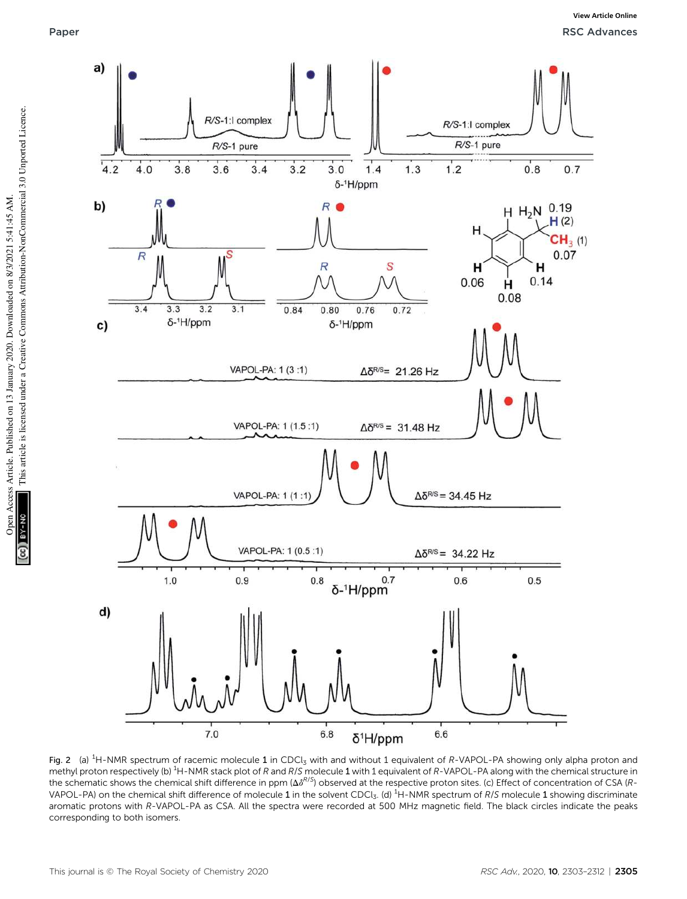

Fig. 2 (a)  ${}^{1}$ H-NMR spectrum of racemic molecule 1 in CDCl<sub>3</sub> with and without 1 equivalent of R-VAPOL-PA showing only alpha proton and methyl proton respectively (b) <sup>1</sup>H-NMR stack plot of R and R/S molecule 1 with 1 equivalent of R-VAPOL-PA along with the chemical structure in the schematic shows the chemical shift difference in ppm  $(\Delta \delta^{R/S})$  observed at the respective proton sites. (c) Effect of concentration of CSA (R-VAPOL-PA) on the chemical shift difference of molecule 1 in the solvent CDCl<sub>3</sub>. (d) <sup>1</sup>H-NMR spectrum of R/S molecule 1 showing discriminate aromatic protons with R-VAPOL-PA as CSA. All the spectra were recorded at 500 MHz magnetic field. The black circles indicate the peaks corresponding to both isomers.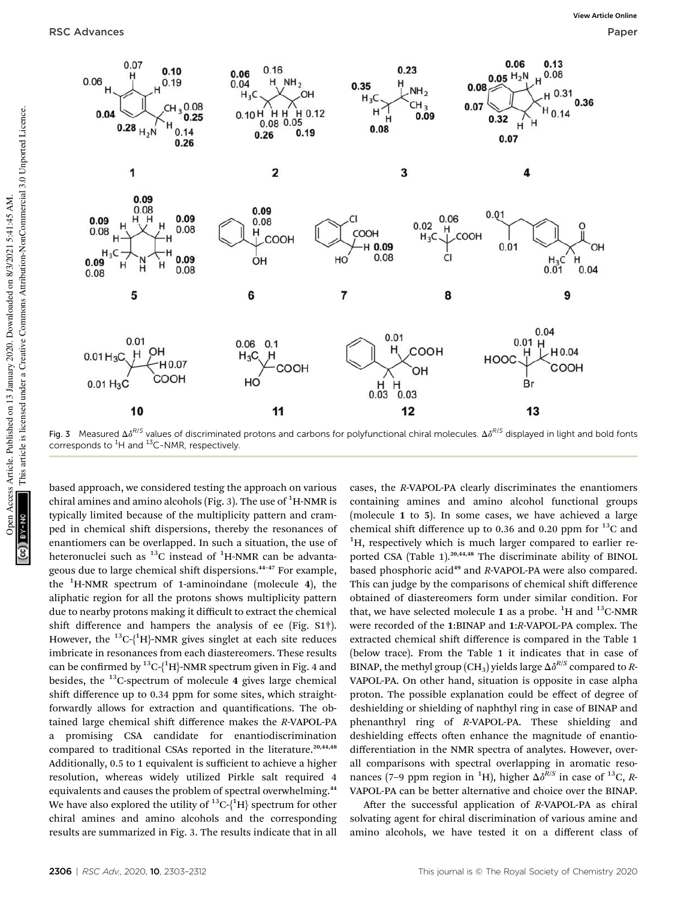

Fig. 3 Measured  $\Delta \delta^{R/S}$  values of discriminated protons and carbons for polyfunctional chiral molecules.  $\Delta \delta^{R/S}$  displayed in light and bold fonts corresponds to  ${}^{1}$ H and  ${}^{13}$ C-NMR, respectively.

based approach, we considered testing the approach on various chiral amines and amino alcohols (Fig. 3). The use of  ${}^{1}$ H-NMR is typically limited because of the multiplicity pattern and cramped in chemical shift dispersions, thereby the resonances of enantiomers can be overlapped. In such a situation, the use of heteronuclei such as  ${}^{13}$ C instead of  ${}^{1}$ H-NMR can be advantageous due to large chemical shift dispersions.<sup>44-47</sup> For example, the  ${}^{1}$ H-NMR spectrum of 1-aminoindane (molecule 4), the aliphatic region for all the protons shows multiplicity pattern due to nearby protons making it difficult to extract the chemical shift difference and hampers the analysis of ee (Fig.  $S1\dagger$ ). However, the <sup>13</sup>C-{<sup>1</sup>H}-NMR gives singlet at each site reduces imbricate in resonances from each diastereomers. These results can be confirmed by  ${}^{13}C_{1}{}^{1}H$ }-NMR spectrum given in Fig. 4 and besides, the  $^{13}$ C-spectrum of molecule 4 gives large chemical shift difference up to 0.34 ppm for some sites, which straightforwardly allows for extraction and quantifications. The obtained large chemical shift difference makes the *R*-VAPOL-PA a promising CSA candidate for enantiodiscrimination compared to traditional CSAs reported in the literature.<sup>20,44,48</sup> Additionally, 0.5 to 1 equivalent is sufficient to achieve a higher resolution, whereas widely utilized Pirkle salt required 4 equivalents and causes the problem of spectral overwhelming.<sup>44</sup> We have also explored the utility of  $^{13}C_{1}^{1}H$ } spectrum for other chiral amines and amino alcohols and the corresponding results are summarized in Fig. 3. The results indicate that in all

cases, the *R*-VAPOL-PA clearly discriminates the enantiomers containing amines and amino alcohol functional groups (molecule 1 to 5). In some cases, we have achieved a large chemical shift difference up to 0.36 and 0.20 ppm for  $^{13}$ C and  ${}^{1}$ H, respectively which is much larger compared to earlier reported CSA (Table 1).<sup>20,44,48</sup> The discriminate ability of BINOL based phosphoric acid<sup>49</sup> and *R*-VAPOL-PA were also compared. This can judge by the comparisons of chemical shift difference obtained of diastereomers form under similar condition. For that, we have selected molecule 1 as a probe.  ${}^{1}H$  and  ${}^{13}C$ -NMR were recorded of the 1:BINAP and 1:*R*-VAPOL-PA complex. The extracted chemical shift difference is compared in the Table 1 (below trace). From the Table 1 it indicates that in case of BINAP, the methyl group (CH<sub>3</sub>) yields large  $\Delta \delta^{R/S}$  compared to *R*-VAPOL-PA. On other hand, situation is opposite in case alpha proton. The possible explanation could be effect of degree of deshielding or shielding of naphthyl ring in case of BINAP and phenanthryl ring of *R*-VAPOL-PA. These shielding and deshielding effects often enhance the magnitude of enantiodifferentiation in the NMR spectra of analytes. However, overall comparisons with spectral overlapping in aromatic resonances (7–9 ppm region in <sup>1</sup>H), higher  $\Delta \delta^{R/S}$  in case of <sup>13</sup>C, *R*-VAPOL-PA can be better alternative and choice over the BINAP.

After the successful application of *R*-VAPOL-PA as chiral solvating agent for chiral discrimination of various amine and amino alcohols, we have tested it on a different class of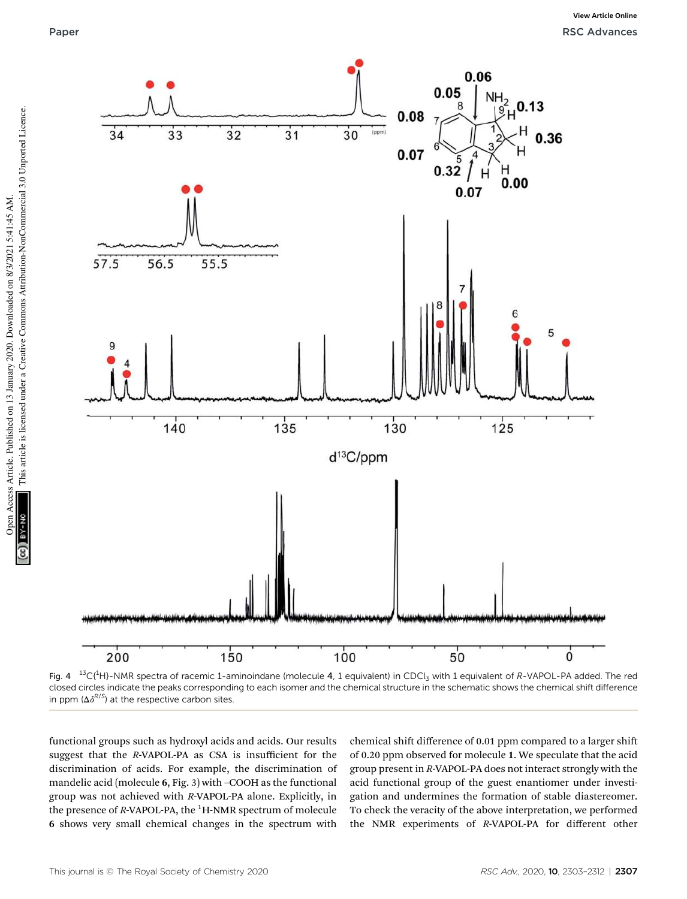

Fig. 4  $^{13}C(^{1}H)$ -NMR spectra of racemic 1-aminoindane (molecule 4, 1 equivalent) in CDCl<sub>3</sub> with 1 equivalent of R-VAPOL-PA added. The red closed circles indicate the peaks corresponding to each isomer and the chemical structure in the schematic shows the chemical shift difference in ppm  $(\Delta \delta^{R/S})$  at the respective carbon sites.

functional groups such as hydroxyl acids and acids. Our results suggest that the *R*-VAPOL-PA as CSA is insufficient for the discrimination of acids. For example, the discrimination of mandelic acid (molecule 6, Fig. 3) with –COOH as the functional group was not achieved with *R*-VAPOL-PA alone. Explicitly, in the presence of *R*-VAPOL-PA, the <sup>1</sup>H-NMR spectrum of molecule 6 shows very small chemical changes in the spectrum with

chemical shift difference of 0.01 ppm compared to a larger shift of 0.20 ppm observed for molecule 1. We speculate that the acid group present in *R*-VAPOL-PA does not interact strongly with the acid functional group of the guest enantiomer under investigation and undermines the formation of stable diastereomer. To check the veracity of the above interpretation, we performed the NMR experiments of *R*-VAPOL-PA for different other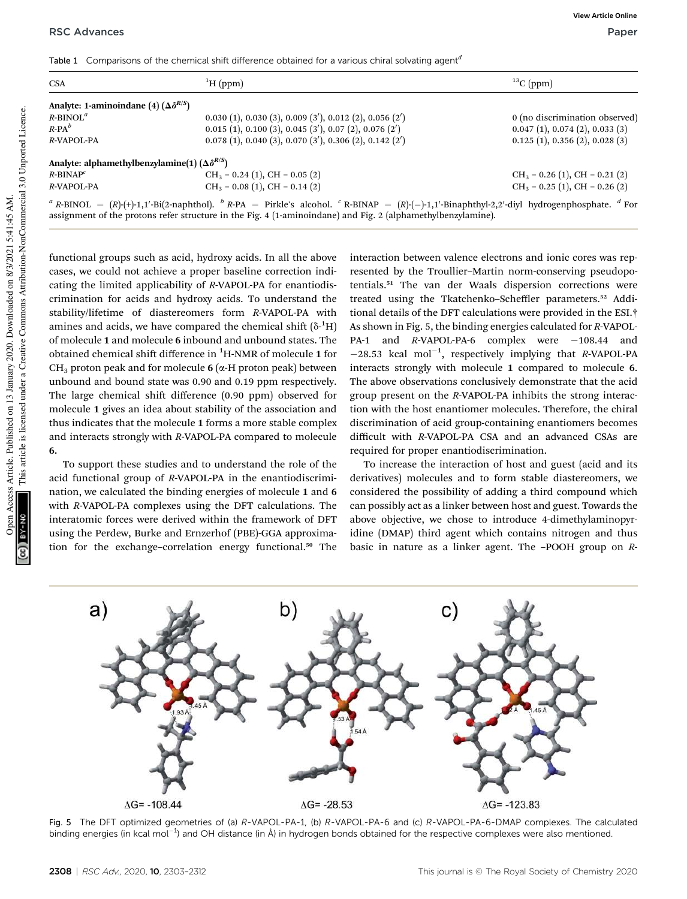Table 1 Comparisons of the chemical shift difference obtained for a various chiral solvating agent*<sup>d</sup>*

| <b>CSA</b>                                                 | ${}^{1}H$ (ppm)                                                                                                                                                                   | ${}^{13}C$ (ppm)                 |  |  |
|------------------------------------------------------------|-----------------------------------------------------------------------------------------------------------------------------------------------------------------------------------|----------------------------------|--|--|
| Analyte: 1-aminoindane (4) $(\Delta \delta^{R/S})$         |                                                                                                                                                                                   |                                  |  |  |
| $R$ -BINOL <sup>a</sup>                                    | $0.030(1)$ , $0.030(3)$ , $0.009(3')$ , $0.012(2)$ , $0.056(2')$                                                                                                                  | 0 (no discrimination observed)   |  |  |
| $R$ -PA $^b$                                               | $0.015$ (1), $0.100$ (3), $0.045$ (3'), $0.07$ (2), $0.076$ (2')                                                                                                                  | 0.047(1), 0.074(2), 0.033(3)     |  |  |
| R-VAPOL-PA                                                 | $0.078(1)$ , $0.040(3)$ , $0.070(3')$ , $0.306(2)$ , $0.142(2')$                                                                                                                  | 0.125(1), 0.356(2), 0.028(3)     |  |  |
| Analyte: alphamethylbenzylamine(1) $(\Delta \delta^{R/S})$ |                                                                                                                                                                                   |                                  |  |  |
| $R$ -BINA $P^c$                                            | $CH_3 - 0.24$ (1), CH - 0.05 (2)                                                                                                                                                  | $CH_3 - 0.26$ (1), CH - 0.21 (2) |  |  |
| R-VAPOL-PA                                                 | $CH_3 - 0.08$ (1), CH $- 0.14$ (2)                                                                                                                                                | $CH_3 - 0.25$ (1), CH - 0.26 (2) |  |  |
|                                                            | $\alpha$ p print $I_{\text{D}}(p)$ = (p)(4).1 1/pi(2,paphthol) $\beta$ p.ps = pirkle's algohol $\beta$ p prints = (p)( ),1 1/pinaphthyl,2 2/dive by drogen phosphate $\alpha$ For |                                  |  |  |

 $R$ -BINOL =  $(R)$ -(+)-1,1'-Bi(2-naphthol). *b*  $R$ -PA  $=$  Pirkle's alcohol.  $)-1,1'-Binaphthyl-2,2'$ -diyl hydrogenphosphate. *<sup>d</sup>* For assignment of the protons refer structure in the Fig. 4 (1-aminoindane) and Fig. 2 (alphamethylbenzylamine).

functional groups such as acid, hydroxy acids. In all the above cases, we could not achieve a proper baseline correction indicating the limited applicability of *R*-VAPOL-PA for enantiodiscrimination for acids and hydroxy acids. To understand the stability/lifetime of diastereomers form *R*-VAPOL-PA with amines and acids, we have compared the chemical shift  $(\delta$ -<sup>1</sup>H) of molecule 1 and molecule 6 inbound and unbound states. The obtained chemical shift difference in <sup>1</sup>H-NMR of molecule 1 for  $CH<sub>3</sub>$  proton peak and for molecule 6 ( $\alpha$ -H proton peak) between unbound and bound state was 0.90 and 0.19 ppm respectively. The large chemical shift difference  $(0.90$  ppm) observed for molecule 1 gives an idea about stability of the association and thus indicates that the molecule 1 forms a more stable complex and interacts strongly with *R*-VAPOL-PA compared to molecule 6.

To support these studies and to understand the role of the acid functional group of *R*-VAPOL-PA in the enantiodiscrimination, we calculated the binding energies of molecule 1 and 6 with *R*-VAPOL-PA complexes using the DFT calculations. The interatomic forces were derived within the framework of DFT using the Perdew, Burke and Ernzerhof (PBE)-GGA approximation for the exchange-correlation energy functional.<sup>50</sup> The

interaction between valence electrons and ionic cores was represented by the Troullier–Martin norm-conserving pseudopotentials.<sup>51</sup> The van der Waals dispersion corrections were treated using the Tkatchenko–Scheffler parameters.<sup>52</sup> Additional details of the DFT calculations were provided in the ESI.† As shown in Fig. 5, the binding energies calculated for *R*-VAPOL-PA-1 and *R*-VAPOL-PA-6 complex were -108.44 and -28.53 kcal mol<sup>-1</sup>, respectively implying that *R*-VAPOL-PA interacts strongly with molecule 1 compared to molecule 6. The above observations conclusively demonstrate that the acid group present on the *R*-VAPOL-PA inhibits the strong interaction with the host enantiomer molecules. Therefore, the chiral discrimination of acid group-containing enantiomers becomes difficult with *R*-VAPOL-PA CSA and an advanced CSAs are required for proper enantiodiscrimination.

To increase the interaction of host and guest (acid and its derivatives) molecules and to form stable diastereomers, we considered the possibility of adding a third compound which can possibly act as a linker between host and guest. Towards the above objective, we chose to introduce 4-dimethylaminopyridine (DMAP) third agent which contains nitrogen and thus basic in nature as a linker agent. The –POOH group on *R*-



Fig. 5 The DFT optimized geometries of (a) R-VAPOL-PA-1, (b) R-VAPOL-PA-6 and (c) R-VAPOL-PA-6-DMAP complexes. The calculated binding energies (in kcal mol<sup>-1</sup>) and OH distance (in Å) in hydrogen bonds obtained for the respective complexes were also mentioned.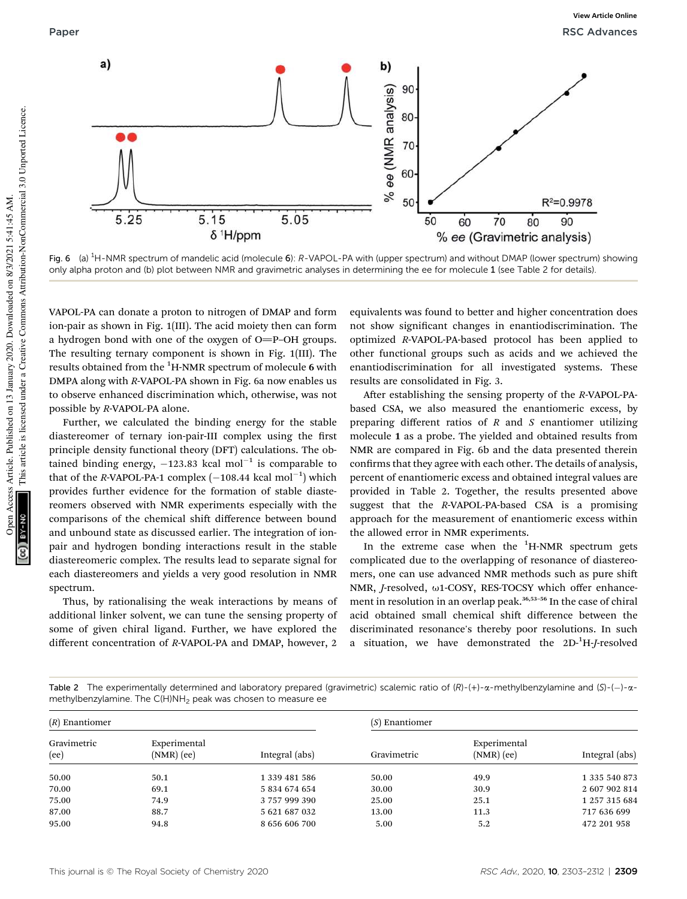

Fig. 6 (a) <sup>1</sup>H-NMR spectrum of mandelic acid (molecule 6): R-VAPOL-PA with (upper spectrum) and without DMAP (lower spectrum) showing only alpha proton and (b) plot between NMR and gravimetric analyses in determining the ee for molecule 1 (see Table 2 for details).

VAPOL-PA can donate a proton to nitrogen of DMAP and form ion-pair as shown in Fig. 1(III). The acid moiety then can form a hydrogen bond with one of the oxygen of  $O=$ P–OH groups. The resulting ternary component is shown in Fig. 1(III). The results obtained from the <sup>1</sup>H-NMR spectrum of molecule 6 with DMPA along with *R*-VAPOL-PA shown in Fig. 6a now enables us to observe enhanced discrimination which, otherwise, was not possible by *R*-VAPOL-PA alone.

Further, we calculated the binding energy for the stable diastereomer of ternary ion-pair-III complex using the first principle density functional theory (DFT) calculations. The obtained binding energy,  $-123.83$  kcal mol<sup>-1</sup> is comparable to that of the *R*-VAPOL-PA-1 complex  $(-108.44 \text{ kcal mol}^{-1})$  which provides further evidence for the formation of stable diastereomers observed with NMR experiments especially with the comparisons of the chemical shift difference between bound and unbound state as discussed earlier. The integration of ionpair and hydrogen bonding interactions result in the stable diastereomeric complex. The results lead to separate signal for each diastereomers and yields a very good resolution in NMR spectrum.

Thus, by rationalising the weak interactions by means of additional linker solvent, we can tune the sensing property of some of given chiral ligand. Further, we have explored the different concentration of *R*-VAPOL-PA and DMAP, however, 2

equivalents was found to better and higher concentration does not show signicant changes in enantiodiscrimination. The optimized *R*-VAPOL-PA-based protocol has been applied to other functional groups such as acids and we achieved the enantiodiscrimination for all investigated systems. These results are consolidated in Fig. 3.

After establishing the sensing property of the *R*-VAPOL-PAbased CSA, we also measured the enantiomeric excess, by preparing different ratios of *R* and *S* enantiomer utilizing molecule 1 as a probe. The yielded and obtained results from NMR are compared in Fig. 6b and the data presented therein confirms that they agree with each other. The details of analysis, percent of enantiomeric excess and obtained integral values are provided in Table 2. Together, the results presented above suggest that the *R*-VAPOL-PA-based CSA is a promising approach for the measurement of enantiomeric excess within the allowed error in NMR experiments.

In the extreme case when the  ${}^{1}$ H-NMR spectrum gets complicated due to the overlapping of resonance of diastereomers, one can use advanced NMR methods such as pure shi NMR, *J*-resolved, ω1-COSY, RES-TOCSY which offer enhancement in resolution in an overlap peak.<sup>36,53-56</sup> In the case of chiral acid obtained small chemical shift difference between the discriminated resonance's thereby poor resolutions. In such a situation, we have demonstrated the 2D-1H-*J*-resolved

Table 2 The experimentally determined and laboratory prepared (gravimetric) scalemic ratio of  $(R)-(+)$ - $\alpha$ -methylbenzylamine and  $(S)-\alpha$ methylbenzylamine. The C(H)NH<sub>2</sub> peak was chosen to measure ee

| $(R)$ Enantiomer    |                              |                | $(S)$ Enantiomer |                              |                |
|---------------------|------------------------------|----------------|------------------|------------------------------|----------------|
| Gravimetric<br>(ee) | Experimental<br>$(NMR)$ (ee) | Integral (abs) | Gravimetric      | Experimental<br>$(NMR)$ (ee) | Integral (abs) |
| 50.00               | 50.1                         | 1 339 481 586  | 50.00            | 49.9                         | 1 335 540 873  |
| 70.00               | 69.1                         | 5 834 674 654  | 30.00            | 30.9                         | 2 607 902 814  |
| 75.00               | 74.9                         | 3757999390     | 25.00            | 25.1                         | 1 257 315 684  |
| 87.00               | 88.7                         | 5 621 687 032  | 13.00            | 11.3                         | 717 636 699    |
| 95.00               | 94.8                         | 8 656 606 700  | 5.00             | 5.2                          | 472 201 958    |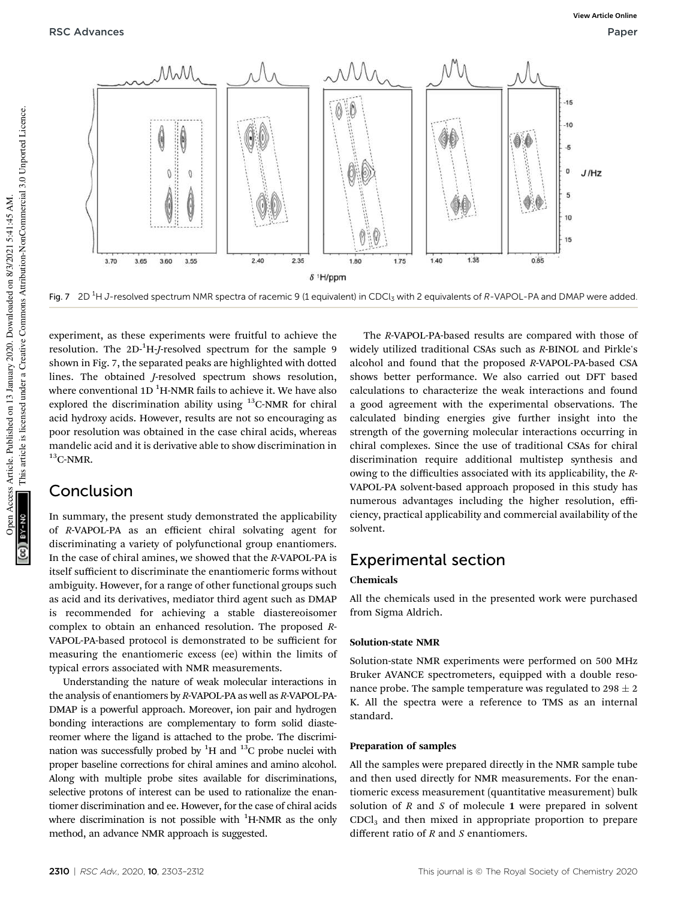

Fig. 7 2D<sup>1</sup>H J-resolved spectrum NMR spectra of racemic 9 (1 equivalent) in CDCl<sub>3</sub> with 2 equivalents of R-VAPOL-PA and DMAP were added.

experiment, as these experiments were fruitful to achieve the resolution. The 2D<sup>-1</sup>H-*J*-resolved spectrum for the sample 9 shown in Fig. 7, the separated peaks are highlighted with dotted lines. The obtained *J*-resolved spectrum shows resolution, where conventional  $1D<sup>1</sup>H-MMR$  fails to achieve it. We have also explored the discrimination ability using  $^{13}$ C-NMR for chiral acid hydroxy acids. However, results are not so encouraging as poor resolution was obtained in the case chiral acids, whereas mandelic acid and it is derivative able to show discrimination in  $13$ C-NMR.

### Conclusion

In summary, the present study demonstrated the applicability of *R*-VAPOL-PA as an efficient chiral solvating agent for discriminating a variety of polyfunctional group enantiomers. In the case of chiral amines, we showed that the *R*-VAPOL-PA is itself sufficient to discriminate the enantiomeric forms without ambiguity. However, for a range of other functional groups such as acid and its derivatives, mediator third agent such as DMAP is recommended for achieving a stable diastereoisomer complex to obtain an enhanced resolution. The proposed *R*-VAPOL-PA-based protocol is demonstrated to be sufficient for measuring the enantiomeric excess (ee) within the limits of typical errors associated with NMR measurements.

Understanding the nature of weak molecular interactions in the analysis of enantiomers by *R*-VAPOL-PA as well as *R*-VAPOL-PA-DMAP is a powerful approach. Moreover, ion pair and hydrogen bonding interactions are complementary to form solid diastereomer where the ligand is attached to the probe. The discrimination was successfully probed by  ${}^{1}H$  and  ${}^{13}C$  probe nuclei with proper baseline corrections for chiral amines and amino alcohol. Along with multiple probe sites available for discriminations, selective protons of interest can be used to rationalize the enantiomer discrimination and ee. However, for the case of chiral acids where discrimination is not possible with  ${}^{1}$ H-NMR as the only method, an advance NMR approach is suggested.

The *R*-VAPOL-PA-based results are compared with those of widely utilized traditional CSAs such as *R*-BINOL and Pirkle's alcohol and found that the proposed *R*-VAPOL-PA-based CSA shows better performance. We also carried out DFT based calculations to characterize the weak interactions and found a good agreement with the experimental observations. The calculated binding energies give further insight into the strength of the governing molecular interactions occurring in chiral complexes. Since the use of traditional CSAs for chiral discrimination require additional multistep synthesis and owing to the difficulties associated with its applicability, the *R*-VAPOL-PA solvent-based approach proposed in this study has numerous advantages including the higher resolution, efficiency, practical applicability and commercial availability of the solvent.

### Experimental section

### Chemicals

All the chemicals used in the presented work were purchased from Sigma Aldrich.

### Solution-state NMR

Solution-state NMR experiments were performed on 500 MHz Bruker AVANCE spectrometers, equipped with a double resonance probe. The sample temperature was regulated to  $298 \pm 2$ K. All the spectra were a reference to TMS as an internal standard.

### Preparation of samples

All the samples were prepared directly in the NMR sample tube and then used directly for NMR measurements. For the enantiomeric excess measurement (quantitative measurement) bulk solution of *R* and *S* of molecule 1 were prepared in solvent CDCl<sub>3</sub> and then mixed in appropriate proportion to prepare different ratio of *R* and *S* enantiomers.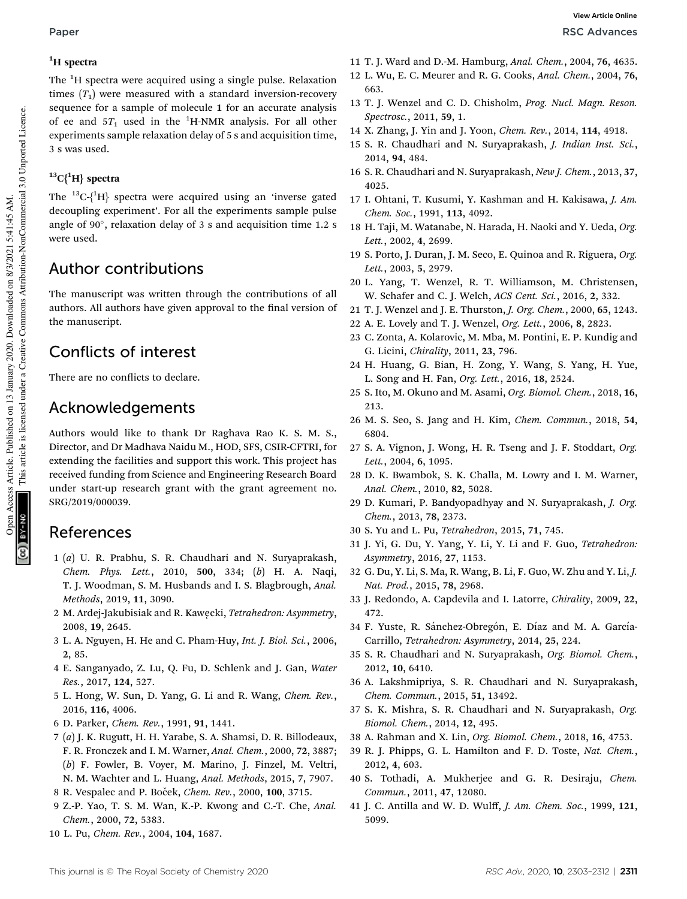The <sup>1</sup>H spectra were acquired using a single pulse. Relaxation times  $(T_1)$  were measured with a standard inversion-recovery sequence for a sample of molecule 1 for an accurate analysis of ee and  $5T_1$  used in the <sup>1</sup>H-NMR analysis. For all other experiments sample relaxation delay of 5 s and acquisition time, 3 s was used.

### ${}^{13}C{^1H}$  spectra

The  ${}^{13}C\{^1H\}$  spectra were acquired using an 'inverse gated decoupling experiment'. For all the experiments sample pulse angle of 90 , relaxation delay of 3 s and acquisition time 1.2 s were used.

## Author contributions

The manuscript was written through the contributions of all authors. All authors have given approval to the final version of the manuscript.

## Conflicts of interest

There are no conflicts to declare.

### Acknowledgements

Authors would like to thank Dr Raghava Rao K. S. M. S., Director, and Dr Madhava Naidu M., HOD, SFS, CSIR-CFTRI, for extending the facilities and support this work. This project has received funding from Science and Engineering Research Board under start-up research grant with the grant agreement no. SRG/2019/000039.

### References

- 1 (*a*) U. R. Prabhu, S. R. Chaudhari and N. Suryaprakash, *Chem. Phys. Lett.*, 2010, 500, 334; (*b*) H. A. Naqi, T. J. Woodman, S. M. Husbands and I. S. Blagbrough, *Anal. Methods*, 2019, 11, 3090.
- 2 M. Ardej-Jakubisiak and R. Kawe˛cki, *Tetrahedron: Asymmetry*, 2008, 19, 2645.
- 3 L. A. Nguyen, H. He and C. Pham-Huy, *Int. J. Biol. Sci.*, 2006, 2, 85.
- 4 E. Sanganyado, Z. Lu, Q. Fu, D. Schlenk and J. Gan, *Water Res.*, 2017, 124, 527.
- 5 L. Hong, W. Sun, D. Yang, G. Li and R. Wang, *Chem. Rev.*, 2016, 116, 4006.
- 6 D. Parker, *Chem. Rev.*, 1991, 91, 1441.
- 7 (*a*) J. K. Rugutt, H. H. Yarabe, S. A. Shamsi, D. R. Billodeaux, F. R. Fronczek and I. M. Warner, *Anal. Chem.*, 2000, 72, 3887; (*b*) F. Fowler, B. Voyer, M. Marino, J. Finzel, M. Veltri, N. M. Wachter and L. Huang, *Anal. Methods*, 2015, 7, 7907.
- 8 R. Vespalec and P. Boˇcek, *Chem. Rev.*, 2000, 100, 3715.
- 9 Z.-P. Yao, T. S. M. Wan, K.-P. Kwong and C.-T. Che, *Anal. Chem.*, 2000, 72, 5383.
- 10 L. Pu, *Chem. Rev.*, 2004, 104, 1687.
- 11 T. J. Ward and D.-M. Hamburg, *Anal. Chem.*, 2004, 76, 4635.
- 12 L. Wu, E. C. Meurer and R. G. Cooks, *Anal. Chem.*, 2004, 76, 663.
- 13 T. J. Wenzel and C. D. Chisholm, *Prog. Nucl. Magn. Reson. Spectrosc.*, 2011, 59, 1.
- 14 X. Zhang, J. Yin and J. Yoon, *Chem. Rev.*, 2014, 114, 4918.
- 15 S. R. Chaudhari and N. Suryaprakash, *J. Indian Inst. Sci.*, 2014, 94, 484.
- 16 S. R. Chaudhari and N. Suryaprakash, *New J. Chem.*, 2013, 37, 4025.
- 17 I. Ohtani, T. Kusumi, Y. Kashman and H. Kakisawa, *J. Am. Chem. Soc.*, 1991, 113, 4092.
- 18 H. Taji, M. Watanabe, N. Harada, H. Naoki and Y. Ueda, *Org. Lett.*, 2002, 4, 2699.
- 19 S. Porto, J. Duran, J. M. Seco, E. Quinoa and R. Riguera, *Org. Lett.*, 2003, 5, 2979.
- 20 L. Yang, T. Wenzel, R. T. Williamson, M. Christensen, W. Schafer and C. J. Welch, *ACS Cent. Sci.*, 2016, 2, 332.
- 21 T. J. Wenzel and J. E. Thurston, *J. Org. Chem.*, 2000, 65, 1243.
- 22 A. E. Lovely and T. J. Wenzel, *Org. Lett.*, 2006, 8, 2823.
- 23 C. Zonta, A. Kolarovic, M. Mba, M. Pontini, E. P. Kundig and G. Licini, *Chirality*, 2011, 23, 796.
- 24 H. Huang, G. Bian, H. Zong, Y. Wang, S. Yang, H. Yue, L. Song and H. Fan, *Org. Lett.*, 2016, 18, 2524.
- 25 S. Ito, M. Okuno and M. Asami, *Org. Biomol. Chem.*, 2018, 16, 213.
- 26 M. S. Seo, S. Jang and H. Kim, *Chem. Commun.*, 2018, 54, 6804.
- 27 S. A. Vignon, J. Wong, H. R. Tseng and J. F. Stoddart, *Org. Lett.*, 2004, 6, 1095.
- 28 D. K. Bwambok, S. K. Challa, M. Lowry and I. M. Warner, *Anal. Chem.*, 2010, 82, 5028.
- 29 D. Kumari, P. Bandyopadhyay and N. Suryaprakash, *J. Org. Chem.*, 2013, 78, 2373.
- 30 S. Yu and L. Pu, *Tetrahedron*, 2015, 71, 745.
- 31 J. Yi, G. Du, Y. Yang, Y. Li, Y. Li and F. Guo, *Tetrahedron: Asymmetry*, 2016, 27, 1153.
- 32 G. Du, Y. Li, S. Ma, R. Wang, B. Li, F. Guo, W. Zhu and Y. Li, *J. Nat. Prod.*, 2015, 78, 2968.
- 33 J. Redondo, A. Capdevila and I. Latorre, *Chirality*, 2009, 22, 472.
- 34 F. Yuste, R. Sánchez-Obregón, E. Díaz and M. A. García-Carrillo, *Tetrahedron: Asymmetry*, 2014, 25, 224.
- 35 S. R. Chaudhari and N. Suryaprakash, *Org. Biomol. Chem.*, 2012, 10, 6410.
- 36 A. Lakshmipriya, S. R. Chaudhari and N. Suryaprakash, *Chem. Commun.*, 2015, 51, 13492.
- 37 S. K. Mishra, S. R. Chaudhari and N. Suryaprakash, *Org. Biomol. Chem.*, 2014, 12, 495.
- 38 A. Rahman and X. Lin, *Org. Biomol. Chem.*, 2018, 16, 4753.
- 39 R. J. Phipps, G. L. Hamilton and F. D. Toste, *Nat. Chem.*, 2012, 4, 603.
- 40 S. Tothadi, A. Mukherjee and G. R. Desiraju, *Chem. Commun.*, 2011, 47, 12080.
- 41 J. C. Antilla and W. D. Wulff, *J. Am. Chem. Soc.*, 1999, 121, 5099.